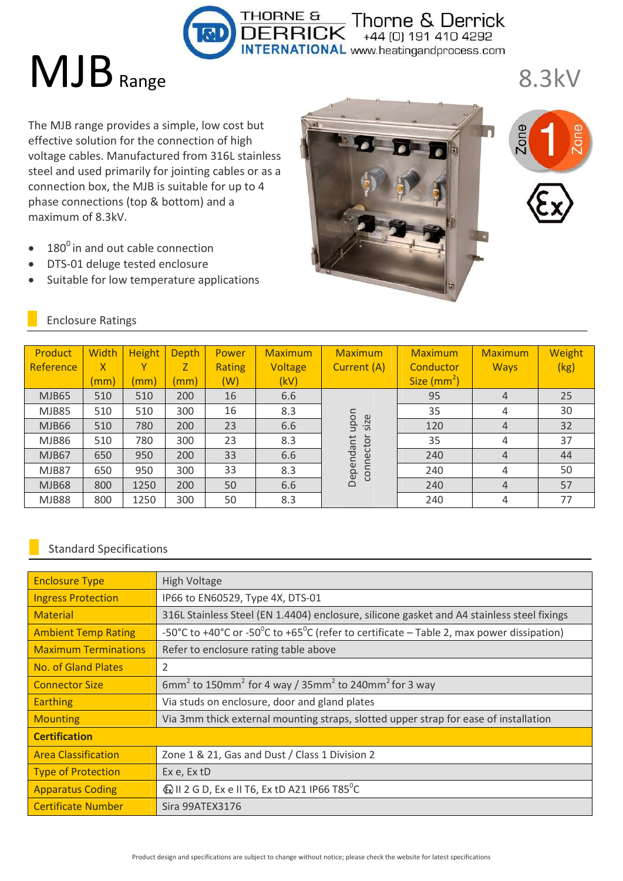Thorne & Derrick  $+44$  (0) 191 410 4292 ATIONAL www.heatingandprocess.com

# MJB Range

The MJB range provides a simple, low cost but effective solution for the connection of high voltage cables. Manufactured from 316L stainless steel and used primarily for jointing cables or as a connection box, the MJB is suitable for up to 4 phase connections (top & bottom) and a maximum of 8.3kV.

- $\bullet$  180<sup>0</sup> in and out cable connection
- DTS-01 deluge tested enclosure
- Suitable for low temperature applications





8.3kV

| Product      | <b>Width</b>    | <b>Height</b> | <b>Depth</b> | Power         | <b>Maximum</b> | <b>Maximum</b>         | <b>Maximum</b>          | <b>Maximum</b> | Weight |
|--------------|-----------------|---------------|--------------|---------------|----------------|------------------------|-------------------------|----------------|--------|
| Reference    | $\mathsf{X}$    |               |              | <b>Rating</b> | Voltage        | Current (A)            | Conductor               | <b>Ways</b>    | (kg)   |
|              | $\mathsf{mm}$ ) | (mm)          | (mm)         | (W)           | (kV)           |                        | Size (mm <sup>2</sup> ) |                |        |
| <b>MJB65</b> | 510             | 510           | 200          | 16            | 6.6            |                        | 95                      | $\overline{4}$ | 25     |
| <b>MJB85</b> | 510             | 510           | 300          | 16            | 8.3            |                        | 35                      | 4              | 30     |
| MJB66        | 510             | 780           | 200          | 23            | 6.6            | upon<br>size           | 120                     | 4              | 32     |
| <b>MJB86</b> | 510             | 780           | 300          | 23            | 8.3            |                        | 35                      | 4              | 37     |
| MJB67        | 650             | 950           | 200          | 33            | 6.6            |                        | 240                     | 4              | 44     |
| MJB87        | 650             | 950           | 300          | 33            | 8.3            | connector<br>Dependant | 240                     | $\overline{4}$ | 50     |
| <b>MJB68</b> | 800             | 1250          | 200          | 50            | 6.6            |                        | 240                     | 4              | 57     |
| MJB88        | 800             | 1250          | 300          | 50            | 8.3            |                        | 240                     | $\overline{4}$ | 77     |

THORNE &

## Enclosure Ratings

#### Standard Specifications

| <b>Enclosure Type</b>       | High Voltage                                                                               |  |  |  |  |
|-----------------------------|--------------------------------------------------------------------------------------------|--|--|--|--|
| <b>Ingress Protection</b>   | IP66 to EN60529, Type 4X, DTS-01                                                           |  |  |  |  |
| <b>Material</b>             | 316L Stainless Steel (EN 1.4404) enclosure, silicone gasket and A4 stainless steel fixings |  |  |  |  |
| <b>Ambient Temp Rating</b>  | -50°C to +40°C or -50°C to +65°C (refer to certificate – Table 2, max power dissipation)   |  |  |  |  |
| <b>Maximum Terminations</b> | Refer to enclosure rating table above                                                      |  |  |  |  |
| No. of Gland Plates         | 2                                                                                          |  |  |  |  |
| <b>Connector Size</b>       | $6mm2$ to 150mm <sup>2</sup> for 4 way / 35mm <sup>2</sup> to 240mm <sup>2</sup> for 3 way |  |  |  |  |
| <b>Earthing</b>             | Via studs on enclosure, door and gland plates                                              |  |  |  |  |
| <b>Mounting</b>             | Via 3mm thick external mounting straps, slotted upper strap for ease of installation       |  |  |  |  |
| <b>Certification</b>        |                                                                                            |  |  |  |  |
| <b>Area Classification</b>  | Zone 1 & 21, Gas and Dust / Class 1 Division 2                                             |  |  |  |  |
| <b>Type of Protection</b>   | Ex e, Ex tD                                                                                |  |  |  |  |
| <b>Apparatus Coding</b>     | $\textcircled{k}$ II 2 G D, Ex e II T6, Ex tD A21 IP66 T85 <sup>o</sup> C                  |  |  |  |  |
| <b>Certificate Number</b>   | Sira 99ATEX3176                                                                            |  |  |  |  |